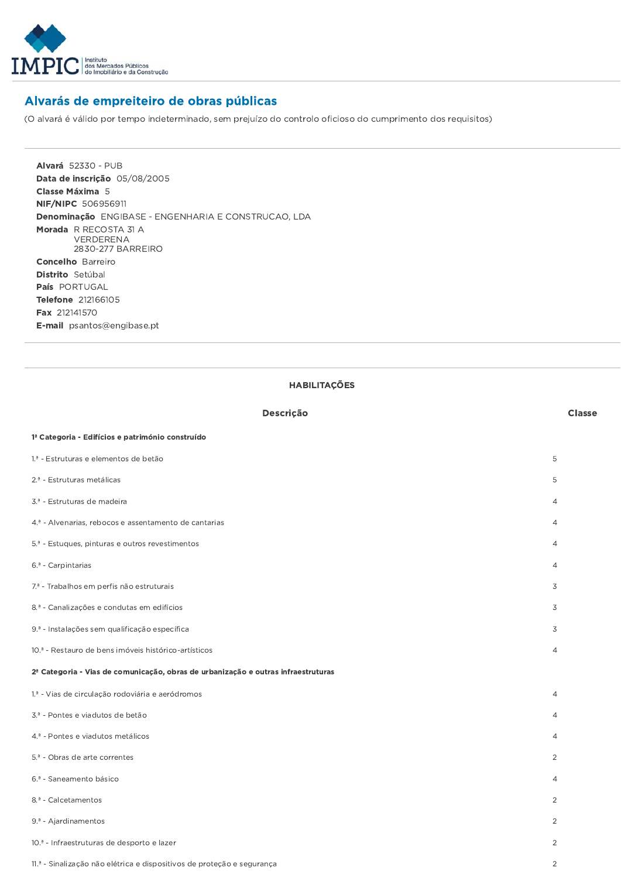

## Alvarás de empreiteiro de obras públicas

(O alvará é válido por tempo indeterminado, sem prejuízo do controlo oficioso do cumprimento dos requisitos)

**Alvará 52330 - PUB** Data de inscricão 05/08/2005 Classe Máxima 5 NIF/NIPC 506956911 Denominação ENGIBASE - ENGENHARIA E CONSTRUCAO, LDA Morada R RECOSTA 31 A VERDERENA 2830-277 BARREIRO **Concelho** Barreiro Distrito Setúbal País PORTUGAL Telefone 212166105 Fax 212141570 E-mail psantos@engibase.pt

## **HABILITAÇÕES**

| Descrição                                                                                     | <b>Classe</b>  |
|-----------------------------------------------------------------------------------------------|----------------|
| 1 <sup>ª</sup> Categoria - Edifícios e património construído                                  |                |
| 1.ª - Estruturas e elementos de betão                                                         | 5              |
| 2. <sup>ª</sup> - Estruturas metálicas                                                        | 5              |
| 3. <sup>ª</sup> - Estruturas de madeira                                                       | $\overline{4}$ |
| 4. <sup>ª</sup> - Alvenarias, rebocos e assentamento de cantarias                             | $\overline{4}$ |
| 5. <sup>ª</sup> - Estuques, pinturas e outros revestimentos                                   | $\overline{4}$ |
| 6. <sup>ª</sup> - Carpintarias                                                                | $\overline{4}$ |
| 7. <sup>ª</sup> - Trabalhos em perfis não estruturais                                         | 3              |
| 8. <sup>ª</sup> - Canalizações e condutas em edifícios                                        | 3              |
| 9. <sup>ª</sup> - Instalações sem qualificação específica                                     | 3              |
| 10. <sup>ª</sup> - Restauro de bens imóveis histórico-artísticos                              | $\overline{4}$ |
| 2 <sup>ª</sup> Categoria - Vias de comunicação, obras de urbanização e outras infraestruturas |                |
| 1.ª - Vias de circulação rodoviária e aeródromos                                              | $\overline{4}$ |
| 3.ª - Pontes e viadutos de betão                                                              | $\overline{4}$ |
| 4. <sup>ª</sup> - Pontes e viadutos metálicos                                                 | $\overline{4}$ |
| 5. <sup>ª</sup> - Obras de arte correntes                                                     | $\overline{2}$ |
| 6. <sup>ª</sup> - Saneamento básico                                                           | $\overline{4}$ |
| 8.ª - Calcetamentos                                                                           | $\overline{2}$ |
| 9. <sup>ª</sup> - Ajardinamentos                                                              | $\overline{2}$ |
| 10. <sup>ª</sup> - Infraestruturas de desporto e lazer                                        | $\overline{2}$ |
| 11.ª - Sinalização não elétrica e dispositivos de proteção e segurança                        | $\overline{2}$ |